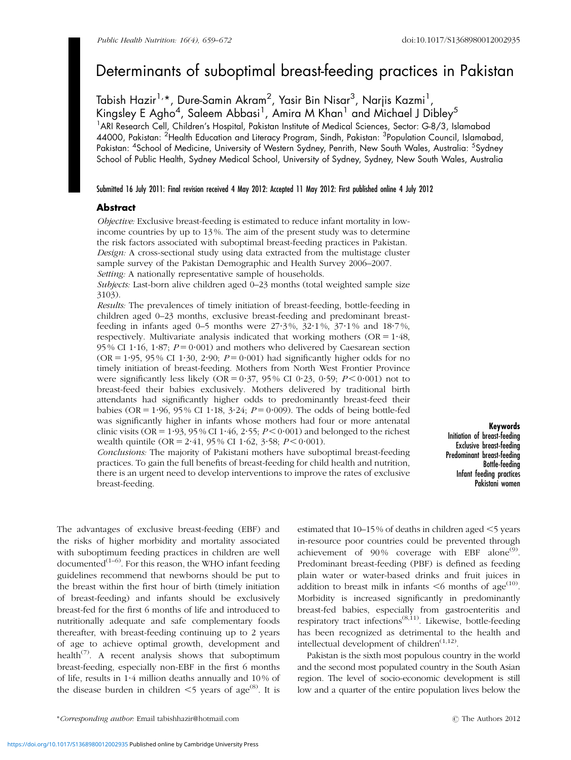# Determinants of suboptimal breast-feeding practices in Pakistan

Tabish Hazir<sup>1,</sup>\*, Dure-Samin Akram<sup>2</sup>, Yasir Bin Nisar<sup>3</sup>, Narjis Kazmi<sup>1</sup>, Kingsley E Agho<sup>4</sup>, Saleem Abbasi<sup>1</sup>, Amira M Khan<sup>1</sup> and Michael J Dibley<sup>5</sup> <sup>1</sup> ARI Research Cell, Children's Hospital, Pakistan Institute of Medical Sciences, Sector: G-8/3, Islamabad 44000, Pakistan: <sup>2</sup>Health Education and Literacy Program, Sindh, Pakistan: <sup>3</sup>Population Council, Islamabad, Pakistan: <sup>4</sup>School of Medicine, University of Western Sydney, Penrith, New South Wales, Australia: <sup>5</sup>Sydney School of Public Health, Sydney Medical School, University of Sydney, Sydney, New South Wales, Australia

## Submitted 16 July 2011: Final revision received 4 May 2012: Accepted 11 May 2012: First published online 4 July 2012

# **Abstract**

Objective: Exclusive breast-feeding is estimated to reduce infant mortality in lowincome countries by up to 13 %. The aim of the present study was to determine the risk factors associated with suboptimal breast-feeding practices in Pakistan. Design: A cross-sectional study using data extracted from the multistage cluster sample survey of the Pakistan Demographic and Health Survey 2006–2007. Setting: A nationally representative sample of households.

Subjects: Last-born alive children aged 0–23 months (total weighted sample size 3103).

Results: The prevalences of timely initiation of breast-feeding, bottle-feeding in children aged 0–23 months, exclusive breast-feeding and predominant breastfeeding in infants aged 0–5 months were  $27.3\%$ ,  $32.1\%$ ,  $37.1\%$  and  $18.7\%$ , respectively. Multivariate analysis indicated that working mothers ( $OR = 1.48$ , 95% CI 1.16, 1.87;  $P = 0.001$  and mothers who delivered by Caesarean section (OR = 1.95, 95 % CI 1.30, 2.90;  $P = 0.001$ ) had significantly higher odds for no timely initiation of breast-feeding. Mothers from North West Frontier Province were significantly less likely (OR = 0.37, 95% CI 0.23, 0.59;  $P < 0.001$ ) not to breast-feed their babies exclusively. Mothers delivered by traditional birth attendants had significantly higher odds to predominantly breast-feed their babies (OR =  $1.96$ , 95% CI 1 $.18$ ,  $3.24$ ;  $P = 0.009$ ). The odds of being bottle-fed was significantly higher in infants whose mothers had four or more antenatal clinic visits (OR = 1.93, 95 % CI 1.46, 2.55;  $P < 0.001$ ) and belonged to the richest wealth quintile (OR =  $2.41$ , 95% CI 1.62, 3.58;  $P \le 0.001$ ).

Conclusions: The majority of Pakistani mothers have suboptimal breast-feeding practices. To gain the full benefits of breast-feeding for child health and nutrition, there is an urgent need to develop interventions to improve the rates of exclusive breast-feeding.

Keywords Initiation of breast-feeding Exclusive breast-feeding Predominant breast-feeding Bottle-feeding Infant feeding practices Pakistani women

The advantages of exclusive breast-feeding (EBF) and the risks of higher morbidity and mortality associated with suboptimum feeding practices in children are well documented $(1-6)$ . For this reason, the WHO infant feeding guidelines recommend that newborns should be put to the breast within the first hour of birth (timely initiation of breast-feeding) and infants should be exclusively breast-fed for the first 6 months of life and introduced to nutritionally adequate and safe complementary foods thereafter, with breast-feeding continuing up to 2 years of age to achieve optimal growth, development and health<sup> $(7)$ </sup>. A recent analysis shows that suboptimum breast-feeding, especially non-EBF in the first 6 months of life, results in 1?4 million deaths annually and 10 % of the disease burden in children  $\leq$  years of age<sup>[\(8\)](#page-12-0)</sup>. It is

estimated that  $10-15\%$  of deaths in children aged  $\leq$ 5 years in-resource poor countries could be prevented through achievement of 90% coverage with EBF alone<sup>[\(9\)](#page-12-0)</sup>. Predominant breast-feeding (PBF) is defined as feeding plain water or water-based drinks and fruit juices in addition to breast milk in infants  $\leq 6$  months of age<sup>([10\)](#page-12-0)</sup>. Morbidity is increased significantly in predominantly breast-fed babies, especially from gastroenteritis and respiratory tract infections<sup>[\(8,11\)](#page-12-0)</sup>. Likewise, bottle-feeding has been recognized as detrimental to the health and intellectual development of children $(1,12)$ .

Pakistan is the sixth most populous country in the world and the second most populated country in the South Asian region. The level of socio-economic development is still low and a quarter of the entire population lives below the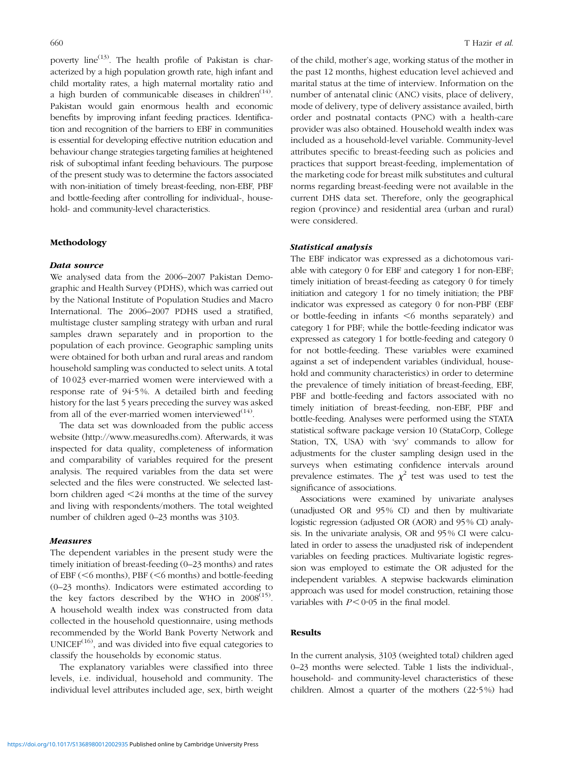poverty line<sup> $(13)$  $(13)$  $(13)$ </sup>. The health profile of Pakistan is characterized by a high population growth rate, high infant and child mortality rates, a high maternal mortality ratio and a high burden of communicable diseases in children<sup> $(14)$  $(14)$ </sup>. Pakistan would gain enormous health and economic benefits by improving infant feeding practices. Identification and recognition of the barriers to EBF in communities is essential for developing effective nutrition education and behaviour change strategies targeting families at heightened risk of suboptimal infant feeding behaviours. The purpose of the present study was to determine the factors associated with non-initiation of timely breast-feeding, non-EBF, PBF and bottle-feeding after controlling for individual-, household- and community-level characteristics.

## Methodology

#### Data source

We analysed data from the 2006–2007 Pakistan Demographic and Health Survey (PDHS), which was carried out by the National Institute of Population Studies and Macro International. The 2006–2007 PDHS used a stratified, multistage cluster sampling strategy with urban and rural samples drawn separately and in proportion to the population of each province. Geographic sampling units were obtained for both urban and rural areas and random household sampling was conducted to select units. A total of 10 023 ever-married women were interviewed with a response rate of 94?5 %. A detailed birth and feeding history for the last 5 years preceding the survey was asked from all of the ever-married women interviewed $^{(14)}$  $^{(14)}$  $^{(14)}$ .

The data set was downloaded from the public access website (http://www.measuredhs.com). Afterwards, it was inspected for data quality, completeness of information and comparability of variables required for the present analysis. The required variables from the data set were selected and the files were constructed. We selected lastborn children aged  $\leq$ 24 months at the time of the survey and living with respondents/mothers. The total weighted number of children aged 0–23 months was 3103.

#### Measures

The dependent variables in the present study were the timely initiation of breast-feeding (0–23 months) and rates of EBF ( $<$ 6 months), PBF ( $<$ 6 months) and bottle-feeding (0–23 months). Indicators were estimated according to the key factors described by the WHO in  $2008^{(15)}$  $2008^{(15)}$  $2008^{(15)}$ . A household wealth index was constructed from data collected in the household questionnaire, using methods recommended by the World Bank Poverty Network and  $UNICEF<sup>(16)</sup>$  $UNICEF<sup>(16)</sup>$  $UNICEF<sup>(16)</sup>$ , and was divided into five equal categories to classify the households by economic status.

The explanatory variables were classified into three levels, i.e. individual, household and community. The individual level attributes included age, sex, birth weight of the child, mother's age, working status of the mother in the past 12 months, highest education level achieved and marital status at the time of interview. Information on the number of antenatal clinic (ANC) visits, place of delivery, mode of delivery, type of delivery assistance availed, birth order and postnatal contacts (PNC) with a health-care provider was also obtained. Household wealth index was included as a household-level variable. Community-level attributes specific to breast-feeding such as policies and practices that support breast-feeding, implementation of the marketing code for breast milk substitutes and cultural norms regarding breast-feeding were not available in the current DHS data set. Therefore, only the geographical region (province) and residential area (urban and rural) were considered.

### Statistical analysis

The EBF indicator was expressed as a dichotomous variable with category 0 for EBF and category 1 for non-EBF; timely initiation of breast-feeding as category 0 for timely initiation and category 1 for no timely initiation; the PBF indicator was expressed as category 0 for non-PBF (EBF or bottle-feeding in infants  $\leq 6$  months separately) and category 1 for PBF; while the bottle-feeding indicator was expressed as category 1 for bottle-feeding and category 0 for not bottle-feeding. These variables were examined against a set of independent variables (individual, household and community characteristics) in order to determine the prevalence of timely initiation of breast-feeding, EBF, PBF and bottle-feeding and factors associated with no timely initiation of breast-feeding, non-EBF, PBF and bottle-feeding. Analyses were performed using the STATA statistical software package version 10 (StataCorp, College Station, TX, USA) with 'svy' commands to allow for adjustments for the cluster sampling design used in the surveys when estimating confidence intervals around prevalence estimates. The  $\chi^2$  test was used to test the significance of associations.

Associations were examined by univariate analyses (unadjusted OR and 95% CI) and then by multivariate logistic regression (adjusted OR (AOR) and 95% CI) analysis. In the univariate analysis, OR and 95% CI were calculated in order to assess the unadjusted risk of independent variables on feeding practices. Multivariate logistic regression was employed to estimate the OR adjusted for the independent variables. A stepwise backwards elimination approach was used for model construction, retaining those variables with  $P \le 0.05$  in the final model.

## Results

In the current analysis, 3103 (weighted total) children aged 0–23 months were selected. [Table 1](#page-2-0) lists the individual-, household- and community-level characteristics of these children. Almost a quarter of the mothers (22?5%) had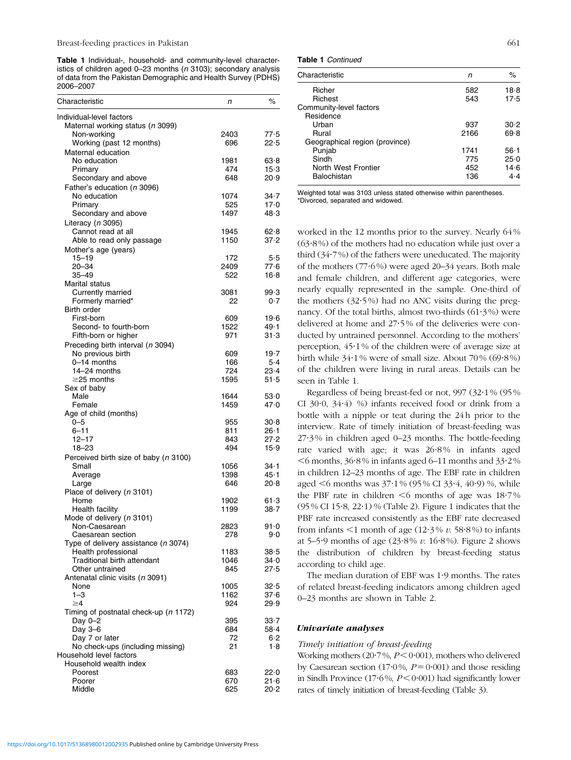<span id="page-2-0"></span>Table 1 Individual-, household- and community-level characteristics of children aged 0-23 months ( $n$  3103); secondary analysis of data from the Pakistan Demographic and Health Survey (PDHS) 2006–2007

| Characteristic                                               | n           | $\%$             |
|--------------------------------------------------------------|-------------|------------------|
| Individual-level factors<br>Maternal working status (n 3099) |             |                  |
| Non-working                                                  | 2403        | 77.5             |
| Working (past 12 months)                                     | 696         | 22.5             |
| Maternal education                                           |             |                  |
| No education                                                 | 1981        | 63.8             |
| Primary                                                      | 474         | $15-3$           |
| Secondary and above                                          | 648         | 20.9             |
| Father's education (n 3096)<br>No education                  | 1074        | 34.7             |
| Primary                                                      | 525         | 17.0             |
| Secondary and above                                          | 1497        | 48.3             |
| Literacy (n 3095)                                            |             |                  |
| Cannot read at all                                           | 1945        | 62∙8             |
| Able to read only passage                                    | 1150        | 37.2             |
| Mother's age (years)                                         |             |                  |
| $15 - 19$                                                    | 172         | 5.5              |
| 20-34                                                        | 2409        | 77.6             |
| 35–49                                                        | 522         | 16.8             |
| Marital status                                               |             |                  |
| Currently married<br>Formerly married*                       | 3081<br>22  | 99.3<br>0.7      |
| Birth order                                                  |             |                  |
| First-born                                                   | 609         | 19.6             |
| Second- to fourth-born                                       | 1522        | 49.1             |
| Fifth-born or higher                                         | 971         | 31.3             |
| Preceding birth interval (n 3094)                            |             |                  |
| No previous birth                                            | 609         | $19-7$           |
| 0-14 months                                                  | 166         | 5.4              |
| 14-24 months                                                 | 724         | 23.4             |
| $\geq$ 25 months                                             | 1595        | 51.5             |
| Sex of baby<br>Male                                          | 1644        | 53.0             |
| Female                                                       | 1459        | 47.0             |
| Age of child (months)                                        |             |                  |
| 0-5                                                          | 955         | 30.8             |
| 6–11                                                         | 811         | 26∙1             |
| $12 - 17$                                                    | 843         | 27.2             |
| 18-23                                                        | 494         | 15.9             |
| Perceived birth size of baby (n 3100)                        |             |                  |
| Small                                                        | 1056        | $34 - 1$         |
| Average                                                      | 1398<br>646 | $45 - 1$<br>20.8 |
| Large<br>Place of delivery (n 3101)                          |             |                  |
| Home                                                         | 1902        | 61.3             |
| Health facility                                              | 1199        | $38 - 7$         |
| Mode of delivery (n 3101)                                    |             |                  |
| Non-Caesarean                                                | 2823        | $91 - 0$         |
| Caesarean section                                            | 278         | 9.0              |
| Type of delivery assistance (n 3074)                         |             |                  |
| Health professional                                          | 1183        | 38.5             |
| Traditional birth attendant<br>Other untrained               | 1046<br>845 | 34.0<br>27.5     |
| Antenatal clinic visits (n 3091)                             |             |                  |
| None                                                         | 1005        | 32.5             |
| $1 - 3$                                                      | 1162        | 37.6             |
| $\geq 4$                                                     | 924         | 29.9             |
| Timing of postnatal check-up (n 1172)                        |             |                  |
| Day 0-2                                                      | 395         | $33 - 7$         |
| Day 3-6                                                      | 684         | $58 - 4$         |
| Day 7 or later                                               | 72          | $6-2$            |
| No check-ups (including missing)<br>Household level factors  | 21          | 1.8              |
| Household wealth index                                       |             |                  |
| Poorest                                                      | 683         | 22.0             |
| Poorer                                                       | 670         | 21.6             |
| Middle                                                       | 625         | 20.2             |
|                                                              |             |                  |

Table 1 Continued

| Characteristic                 | n    | %        |
|--------------------------------|------|----------|
| Richer                         | 582  | 18.8     |
| Richest                        | 543  | 17.5     |
| Community-level factors        |      |          |
| Residence                      |      |          |
| Urban                          | 937  | 30.2     |
| Rural                          | 2166 | 69.8     |
| Geographical region (province) |      |          |
| Punjab                         | 1741 | $56 - 1$ |
| Sindh                          | 775  | 25.0     |
| North West Frontier            | 452  | 14.6     |
| Balochistan                    | 136  | $4-4$    |
|                                |      |          |

Weighted total was 3103 unless stated otherwise within parentheses. \*Divorced, separated and widowed.

worked in the 12 months prior to the survey. Nearly 64%  $(63.8\%)$  of the mothers had no education while just over a third  $(34.7\%)$  of the fathers were uneducated. The majority of the mothers  $(77.6%)$  were aged 20–34 years. Both male and female children, and different age categories, were nearly equally represented in the sample. One-third of the mothers  $(32.5\%)$  had no ANC visits during the pregnancy. Of the total births, almost two-thirds  $(61.3\%)$  were delivered at home and 27?5% of the deliveries were conducted by untrained personnel. According to the mothers' perception,  $45.1\%$  of the children were of average size at birth while 34.1% were of small size. About 70% (69.8%) of the children were living in rural areas. Details can be seen in Table 1.

Regardless of being breast-fed or not,  $997$  ( $32.1\%$  ( $95\%$ CI 30 $\cdot$ 0, 34 $\cdot$ 4) %) infants received food or drink from a bottle with a nipple or teat during the 24h prior to the interview. Rate of timely initiation of breast-feeding was 27?3% in children aged 0–23 months. The bottle-feeding rate varied with age; it was 26?8% in infants aged  $\leq$  6 months, 36.8% in infants aged 6–11 months and 33.2% in children 12–23 months of age. The EBF rate in children aged  $\leq 6$  months was 37 $\cdot$ 1% (95% CI 33 $\cdot$ 4, 40 $\cdot$ 9) %, while the PBF rate in children  $\leq 6$  months of age was 18.7%  $(95\% \text{ CI } 15.8, 22.1)$  % [\(Table 2\)](#page-3-0). [Figure 1](#page-3-0) indicates that the PBF rate increased consistently as the EBF rate decreased from infants  $\leq 1$  month of age (12.3% v. 58.8%) to infants at 5–5 $\cdot$ 9 months of age (23 $\cdot$ 8% v. 16 $\cdot$ 8%). [Figure 2](#page-3-0) shows the distribution of children by breast-feeding status according to child age.

The median duration of EBF was 1?9 months. The rates of related breast-feeding indicators among children aged 0–23 months are shown in [Table 2.](#page-3-0)

## Univariate analyses

## Timely initiation of breast-feeding

Working mothers  $(20.7\%, P<0.001)$ , mothers who delivered by Caesarean section (17 $\cdot$ 0%,  $P = 0 \cdot 001$ ) and those residing in Sindh Province (17 $\cdot$ 6%,  $P < 0 \cdot 001$ ) had significantly lower rates of timely initiation of breast-feeding [\(Table 3\)](#page-4-0).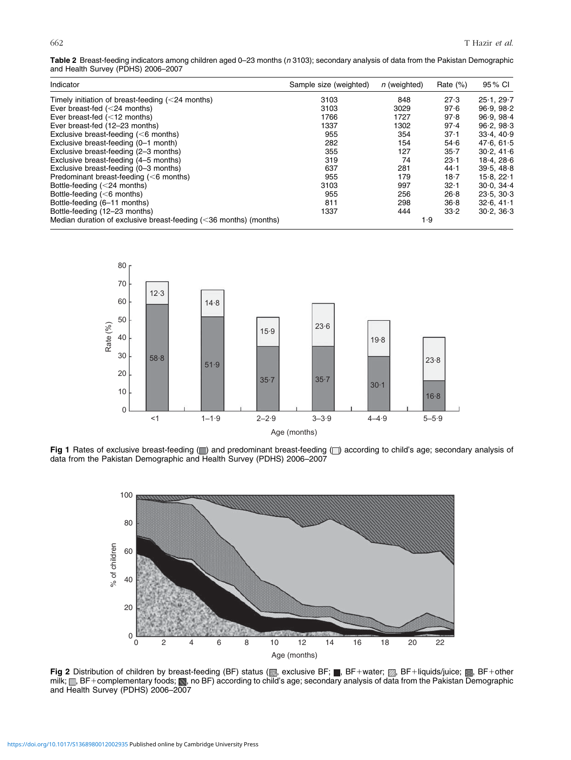<span id="page-3-0"></span>Table 2 Breast-feeding indicators among children aged 0-23 months (n 3103); secondary analysis of data from the Pakistan Demographic and Health Survey (PDHS) 2006-2007

| Indicator                                                            | Sample size (weighted) | <i>n</i> (weighted) | Rate $(\%)$ | 95 % CI       |
|----------------------------------------------------------------------|------------------------|---------------------|-------------|---------------|
| Timely initiation of breast-feeding $(<$ 24 months)                  | 3103                   | 848                 | 27.3        | 25.1.29.7     |
| Ever breast-fed $(<$ 24 months)                                      | 3103                   | 3029                | 97.6        | 96.9, 98.2    |
| Ever breast-fed $(<12$ months)                                       | 1766                   | 1727                | 97.8        | 96.9.98.4     |
| Ever breast-fed (12-23 months)                                       | 1337                   | 1302                | 97.4        | 96.2.98.3     |
| Exclusive breast-feeding $(<$ 6 months)                              | 955                    | 354                 | 37.1        | 33.4.40.9     |
| Exclusive breast-feeding (0-1 month)                                 | 282                    | 154                 | 54.6        | 47.6, 61.5    |
| Exclusive breast-feeding (2-3 months)                                | 355                    | 127                 | $35 - 7$    | 30.2, 41.6    |
| Exclusive breast-feeding (4–5 months)                                | 319                    | 74                  | $23-1$      | 18.4.286      |
| Exclusive breast-feeding (0-3 months)                                | 637                    | 281                 | 44.1        | 39.5.48.8     |
| Predominant breast-feeding $(<$ 6 months)                            | 955                    | 179                 | 18.7        | 15.8.22.1     |
| Bottle-feeding $(<$ 24 months)                                       | 3103                   | 997                 | 32.1        | $30.0.34 - 4$ |
| Bottle-feeding $(<$ 6 months)                                        | 955                    | 256                 | 26.8        | 23.5.30.3     |
| Bottle-feeding (6-11 months)                                         | 811                    | 298                 | 36.8        | 32.6.41.1     |
| Bottle-feeding (12-23 months)                                        | 1337                   | 444                 | 33.2        | 30.2, 36.3    |
| Median duration of exclusive breast-feeding $(<$ 36 months) (months) |                        | 1.9                 |             |               |



Fig 1 Rates of exclusive breast-feeding () and predominant breast-feeding () according to child's age; secondary analysis of data from the Pakistan Demographic and Health Survey (PDHS) 2006–2007



Fig 2 Distribution of children by breast-feeding (BF) status ( , exclusive BF; , BF1water; , BF1liquids/juice; , BF1other milk;  $\Box$ , BF+complementary foods;  $\Box$ , no BF) according to child's age; secondary analysis of data from the Pakistan Demographic and Health Survey (PDHS) 2006–2007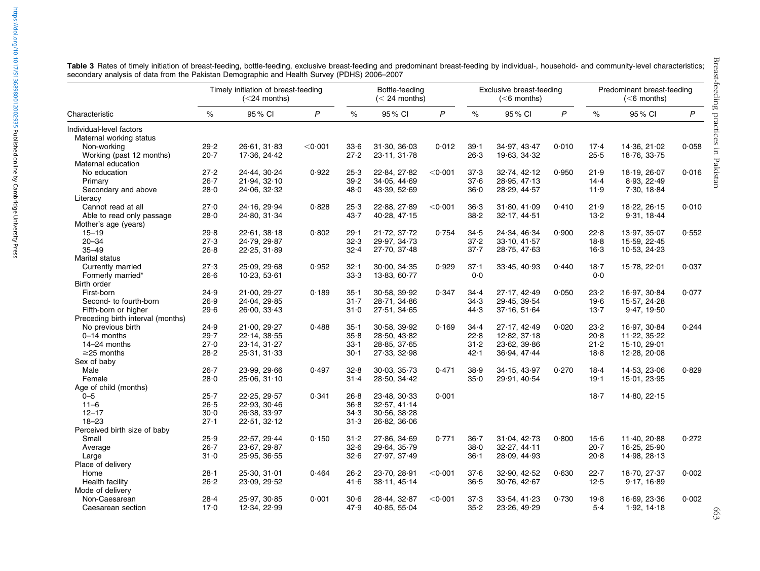|                                   | Timely initiation of breast-feeding<br>$(<$ 24 months) |                              |         |          | Bottle-feeding<br>$(< 24$ months) |                   |          | Exclusive breast-feeding<br>$(6$ months) |              | Predominant breast-feeding<br>$(6$ months) |              |       |
|-----------------------------------|--------------------------------------------------------|------------------------------|---------|----------|-----------------------------------|-------------------|----------|------------------------------------------|--------------|--------------------------------------------|--------------|-------|
| Characteristic                    | $\%$                                                   | 95% CI                       | P       | $\%$     | 95% CI                            | $\mathsf{P}$      | $\%$     | 95% CI                                   | $\mathsf{P}$ | $\%$                                       | 95% CI       | P     |
| Individual-level factors          |                                                        |                              |         |          |                                   |                   |          |                                          |              |                                            |              |       |
| Maternal working status           |                                                        |                              |         |          |                                   |                   |          |                                          |              |                                            |              |       |
| Non-working                       | 29.2                                                   | 26.61, 31.83                 | < 0.001 | 33.6     | 31.30, 36.03                      | 0.012             | $39 - 1$ | 34.97, 43.47                             | 0.010        | $17-4$                                     | 14.36, 21.02 | 0.058 |
| Working (past 12 months)          | 20.7                                                   | 17.36, 24.42                 |         | 27.2     | 23.11, 31.78                      |                   | 26.3     | 19.63, 34.32                             |              | 25.5                                       | 18.76, 33.75 |       |
| Maternal education                |                                                        |                              |         |          |                                   |                   |          |                                          |              |                                            |              |       |
| No education                      | 27.2                                                   | 24.44, 30.24                 | 0.922   | 25.3     | 22.84, 27.82                      | $<$ 0 $\cdot$ 001 | 37.3     | 32.74, 42.12                             | 0.950        | 21.9                                       | 18.19, 26.07 | 0.016 |
| Primary                           | $26 - 7$                                               | 21.94, 32.10                 |         | 39.2     | 34.05, 44.69                      |                   | 37.6     | 28.95, 47.13                             |              | 14.4                                       | 8.93, 22.49  |       |
| Secondary and above               | 28.0                                                   | 24.06, 32.32                 |         | 48∙0     | 43.39, 52.69                      |                   | 36.0     | 28.29, 44.57                             |              | 11.9                                       | 7.30, 18.84  |       |
| Literacy                          |                                                        |                              |         |          |                                   |                   |          |                                          |              |                                            |              |       |
| Cannot read at all                | 27.0                                                   | 24.16, 29.94                 | 0.828   | 25∙3     | 22.88, 27.89                      | $<$ 0 $\cdot$ 001 | 36.3     | 31.80, 41.09                             | 0.410        | 21.9                                       | 18.22, 26.15 | 0.010 |
| Able to read only passage         | 28.0                                                   | 24.80, 31.34                 |         | 43.7     | 40.28, 47.15                      |                   | $38 - 2$ | 32.17, 44.51                             |              | 13.2                                       | 9.31, 18.44  |       |
| Mother's age (years)              |                                                        |                              |         |          |                                   |                   |          |                                          |              |                                            |              |       |
| $15 - 19$                         | 29.8                                                   | 22.61, 38.18                 | 0.802   | 29∙1     | 21.72, 37.72                      | 0.754             | 34.5     | 24.34, 46.34                             | 0.900        | 22.8                                       | 13.97, 35.07 | 0.552 |
| 20-34                             | 27.3                                                   | 24.79, 29.87                 |         | 32.3     | 29.97, 34.73                      |                   | 37.2     | 33.10, 41.57                             |              | 18.8                                       | 15.59, 22.45 |       |
| $35 - 49$                         | 26.8                                                   | 22.25, 31.89                 |         | $32 - 4$ | 27.70, 37.48                      |                   | $37 - 7$ | 28.75, 47.63                             |              | $16-3$                                     | 10.53, 24.23 |       |
| Marital status                    |                                                        |                              |         |          |                                   |                   |          |                                          |              |                                            |              |       |
| Currently married                 | 27.3                                                   | 25.09, 29.68                 | 0.952   | $32 - 1$ | 30.00, 34.35                      | 0.929             | $37 - 1$ | 33.45, 40.93                             | 0.440        | $18 - 7$                                   | 15.78, 22.01 | 0.037 |
| Formerly married*                 | 26.6                                                   | 10.23, 53.61                 |         | 33.3     | 13.83, 60.77                      |                   | 0.0      |                                          |              | 0.0                                        |              |       |
| Birth order                       |                                                        |                              |         |          |                                   |                   |          |                                          |              |                                            |              |       |
| First-born                        | 24.9                                                   | 21.00, 29.27                 | 0.189   | $35 - 1$ | 30.58, 39.92                      | 0.347             | 34.4     | 27.17, 42.49                             | 0.050        | 23.2                                       | 16.97, 30.84 | 0.077 |
| Second- to fourth-born            | 26.9                                                   | 24.04, 29.85                 |         | $31 - 7$ | 28.71, 34.86                      |                   | 34.3     | 29.45, 39.54                             |              | 19.6                                       | 15.57, 24.28 |       |
| Fifth-born or higher              | 29.6                                                   | 26.00, 33.43                 |         | $31 - 0$ | 27.51, 34.65                      |                   | 44.3     | 37.16, 51.64                             |              | 13.7                                       | 9.47, 19.50  |       |
| Preceding birth interval (months) |                                                        |                              |         |          |                                   |                   |          |                                          |              |                                            |              |       |
| No previous birth                 | 24.9                                                   | 21.00, 29.27                 | 0.488   | $35 - 1$ | 30.58, 39.92                      | 0.169             | 34.4     | 27.17, 42.49                             | 0.020        | 23.2                                       | 16.97, 30.84 | 0.244 |
| $0-14$ months                     | 29.7                                                   | 22.14, 38.55                 |         | 35.8     | 28.50, 43.82                      |                   | 22.8     | 12.82, 37.18                             |              | 20.8                                       | 11.22, 35.22 |       |
| 14-24 months                      | 27.0                                                   | 23.14, 31.27                 |         | $33 - 1$ | 28.85, 37.65                      |                   | $31 - 2$ | 23.62, 39.86                             |              | 21.2                                       | 15.10, 29.01 |       |
| $\geq$ 25 months                  | 28.2                                                   | 25.31, 31.33                 |         | $30 - 1$ | 27.33, 32.98                      |                   | 42.1     | 36.94, 47.44                             |              | 18.8                                       | 12.28, 20.08 |       |
| Sex of baby                       |                                                        |                              |         |          |                                   |                   |          |                                          |              |                                            |              |       |
| Male                              | $26 - 7$                                               | 23.99, 29.66                 | 0.497   | 32.8     | 30.03, 35.73                      | 0.471             | 38.9     | 34.15, 43.97                             | 0.270        | $18-4$                                     | 14.53, 23.06 | 0.829 |
| Female                            | 28.0                                                   | 25.06, 31.10                 |         | $31 - 4$ | 28.50, 34.42                      |                   | 35.0     | 29.91, 40.54                             |              | 19.1                                       | 15.01, 23.95 |       |
| Age of child (months)             |                                                        |                              |         |          |                                   |                   |          |                                          |              |                                            |              |       |
|                                   | $25 - 7$                                               |                              | 0.341   | 26.8     | 23.48, 30.33                      | 0.001             |          |                                          |              | 18.7                                       |              |       |
| $0 - 5$<br>$11 - 6$               | 26.5                                                   | 22.25, 29.57<br>22.93, 30.46 |         | 36.8     |                                   |                   |          |                                          |              |                                            | 14.80, 22.15 |       |
|                                   | $30-0$                                                 |                              |         |          | 32.57, 41.14                      |                   |          |                                          |              |                                            |              |       |
| $12 - 17$                         |                                                        | 26.38, 33.97                 |         | 34.3     | 30.56, 38.28                      |                   |          |                                          |              |                                            |              |       |
| $18 - 23$                         | 27.1                                                   | 22.51, 32.12                 |         | 31.3     | 26.82, 36.06                      |                   |          |                                          |              |                                            |              |       |
| Perceived birth size of baby      |                                                        |                              |         |          |                                   |                   |          |                                          |              |                                            |              |       |
| Small                             | 25.9                                                   | 22.57.29.44                  | 0.150   | $31 - 2$ | 27.86.34.69                       | 0.771             | $36 - 7$ | 31.04, 42.73                             | 0.800        | 15.6                                       | 11.40.20.88  | 0.272 |
| Average                           | $26 - 7$                                               | 23.67, 29.87                 |         | 32.6     | 29.64, 35.79                      |                   | $38 - 0$ | 32.27, 44.11                             |              | 20.7                                       | 16.25.25.90  |       |
| Large                             | 31.0                                                   | 25.95, 36.55                 |         | 32.6     | 27.97, 37.49                      |                   | $36 - 1$ | 28.09, 44.93                             |              | 20.8                                       | 14.98, 28.13 |       |
| Place of delivery                 |                                                        |                              |         |          |                                   |                   |          |                                          |              |                                            |              |       |
| Home                              | $28 - 1$                                               | 25.30, 31.01                 | 0.464   | 26.2     | 23.70, 28.91                      | < 0.001           | 37.6     | 32.90, 42.52                             | 0.630        | 22.7                                       | 18.70, 27.37 | 0.002 |
| Health facility                   | 26.2                                                   | 23.09, 29.52                 |         | 41.6     | 38.11, 45.14                      |                   | 36.5     | 30.76, 42.67                             |              | 12.5                                       | 9.17, 16.89  |       |
| Mode of delivery                  |                                                        |                              |         |          |                                   |                   |          |                                          |              |                                            |              |       |
| Non-Caesarean                     | 28.4                                                   | 25.97, 30.85                 | 0.001   | $30 - 6$ | 28.44, 32.87                      | < 0.001           | 37.3     | 33.54, 41.23                             | 0.730        | 19.8                                       | 16.69, 23.36 | 0.002 |
| Caesarean section                 | 17.0                                                   | 12.34, 22.99                 |         | 47.9     | 40.85, 55.04                      |                   | 35.2     | 23.26, 49.29                             |              | $5-4$                                      | 1.92, 14.18  |       |

Table 3 Rates of timely initiation of breast-feeding, bottle-feeding, exclusive breast-feeding and predominant breast-feeding by individual-, household- and community-level characteristics; secondary analysis of data from the Pakistan Demographic and Health Survey (PDHS) 2006–2007

<span id="page-4-0"></span>https://doi.org/10.1017/S1368980012002935 Published online by Cambridge University Press <https://doi.org/10.1017/S1368980012002935>Published online by Cambridge University Press

663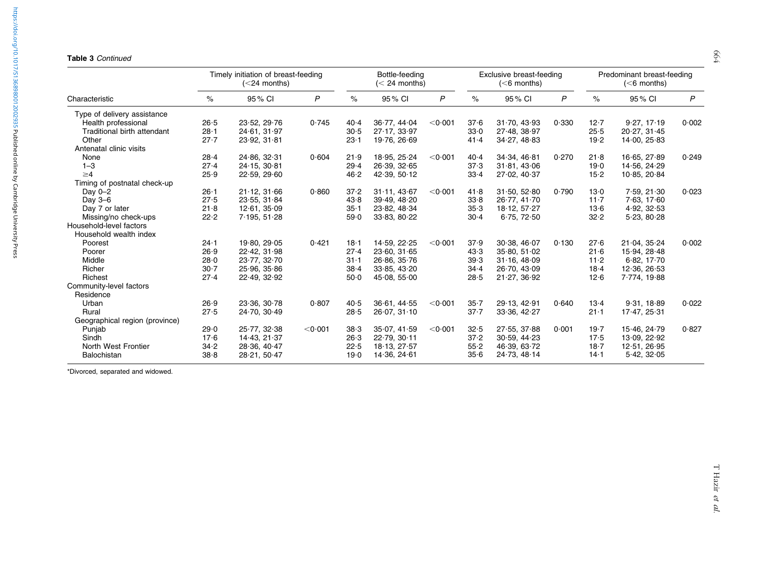#### Table 3 Continued

|                                | Timely initiation of breast-feeding<br>$(<$ 24 months) |              |         |          | Bottle-feeding<br>$(< 24$ months) |                   |          | Exclusive breast-feeding<br>$(6$ months) |       |          | Predominant breast-feeding<br>$(6$ months) |       |  |
|--------------------------------|--------------------------------------------------------|--------------|---------|----------|-----------------------------------|-------------------|----------|------------------------------------------|-------|----------|--------------------------------------------|-------|--|
| Characteristic                 | $\%$                                                   | 95% CI       | P       | $\%$     | 95% CI                            | P                 | $\%$     | 95% CI                                   | P     | $\%$     | 95% CI                                     | P     |  |
| Type of delivery assistance    |                                                        |              |         |          |                                   |                   |          |                                          |       |          |                                            |       |  |
| Health professional            | 26.5                                                   | 23.52, 29.76 | 0.745   | 40.4     | 36.77, 44.04                      | < 0.001           | 37.6     | 31.70, 43.93                             | 0.330 | 12.7     | 9.27, 17.19                                | 0.002 |  |
| Traditional birth attendant    | $28 - 1$                                               | 24.61, 31.97 |         | 30.5     | 27.17, 33.97                      |                   | 33.0     | 27.48.38.97                              |       | 25.5     | 20.27, 31.45                               |       |  |
| Other                          | 27.7                                                   | 23.92, 31.81 |         | $23 - 1$ | 19.76, 26.69                      |                   | 41.4     | 34.27, 48.83                             |       | 19.2     | 14.00, 25.83                               |       |  |
| Antenatal clinic visits        |                                                        |              |         |          |                                   |                   |          |                                          |       |          |                                            |       |  |
| None                           | $28 - 4$                                               | 24.86, 32.31 | 0.604   | 21.9     | 18.95, 25.24                      | < 0.001           | 40.4     | 34.34, 46.81                             | 0.270 | 21.8     | 16.65, 27.89                               | 0.249 |  |
| $1 - 3$                        | 27.4                                                   | 24.15, 30.81 |         | 29.4     | 26.39, 32.65                      |                   | 37.3     | 31.81.43.06                              |       | 19.0     | 14.56, 24.29                               |       |  |
| $\geq 4$                       | 25.9                                                   | 22.59, 29.60 |         | 46.2     | 42.39, 50.12                      |                   | 33.4     | 27.02, 40.37                             |       | $15 - 2$ | 10.85, 20.84                               |       |  |
| Timing of postnatal check-up   |                                                        |              |         |          |                                   |                   |          |                                          |       |          |                                            |       |  |
| Day 0-2                        | $26 - 1$                                               | 21.12, 31.66 | 0.860   | 37.2     | 31.11, 43.67                      | $<$ 0 $\cdot$ 001 | 41.8     | 31.50, 52.80                             | 0.790 | 13.0     | 7.59, 21.30                                | 0.023 |  |
| Day 3-6                        | 27.5                                                   | 23.55, 31.84 |         | 43.8     | 39.49, 48.20                      |                   | 33.8     | 26.77.41.70                              |       | 11.7     | 7.63, 17.60                                |       |  |
| Day 7 or later                 | 21.8                                                   | 12.61, 35.09 |         | $35 - 1$ | 23.82, 48.34                      |                   | 35.3     | 18.12, 57.27                             |       | $13-6$   | 4.92, 32.53                                |       |  |
| Missing/no check-ups           | 22.2                                                   | 7.195, 51.28 |         | 59.0     | 33.83, 80.22                      |                   | 30.4     | 6.75, 72.50                              |       | 32.2     | 5.23, 80.28                                |       |  |
| Household-level factors        |                                                        |              |         |          |                                   |                   |          |                                          |       |          |                                            |       |  |
| Household wealth index         |                                                        |              |         |          |                                   |                   |          |                                          |       |          |                                            |       |  |
| Poorest                        | $24 - 1$                                               | 19.80, 29.05 | 0.421   | 18.1     | 14.59, 22.25                      | $<$ 0 $\cdot$ 001 | 37.9     | 30.38, 46.07                             | 0.130 | 27.6     | 21.04, 35.24                               | 0.002 |  |
| Poorer                         | 26.9                                                   | 22.42, 31.98 |         | 27.4     | 23.60, 31.65                      |                   | 43.3     | 35.80, 51.02                             |       | 21.6     | 15.94, 28.48                               |       |  |
| Middle                         | 28.0                                                   | 23.77, 32.70 |         | $31 - 1$ | 26.86, 35.76                      |                   | 39.3     | 31.16, 48.09                             |       | 11.2     | 6.82, 17.70                                |       |  |
| Richer                         | $30 - 7$                                               | 25.96, 35.86 |         | 38.4     | 33.85, 43.20                      |                   | $34 - 4$ | 26.70, 43.09                             |       | 18.4     | 12.36, 26.53                               |       |  |
| Richest                        | 27.4                                                   | 22.49, 32.92 |         | 50.0     | 45.08, 55.00                      |                   | 28.5     | 21.27, 36.92                             |       | 12.6     | 7.774, 19.88                               |       |  |
| Community-level factors        |                                                        |              |         |          |                                   |                   |          |                                          |       |          |                                            |       |  |
| Residence                      |                                                        |              |         |          |                                   |                   |          |                                          |       |          |                                            |       |  |
| Urban                          | 26.9                                                   | 23.36, 30.78 | 0.807   | 40.5     | 36.61, 44.55                      | < 0.001           | $35 - 7$ | 29.13, 42.91                             | 0.640 | $13-4$   | 9.31, 18.89                                | 0.022 |  |
| Rural                          | 27.5                                                   | 24.70, 30.49 |         | 28.5     | 26.07, 31.10                      |                   | $37 - 7$ | 33.36, 42.27                             |       | $21 - 1$ | 17.47, 25.31                               |       |  |
| Geographical region (province) |                                                        |              |         |          |                                   |                   |          |                                          |       |          |                                            |       |  |
| Punjab                         | 29.0                                                   | 25.77, 32.38 | < 0.001 | 38.3     | 35.07, 41.59                      | < 0.001           | 32.5     | 27.55, 37.88                             | 0.001 | 19.7     | 15.46, 24.79                               | 0.827 |  |
| Sindh                          | 17.6                                                   | 14.43, 21.37 |         | 26.3     | 22.79, 30.11                      |                   | 37.2     | 30.59, 44.23                             |       | 17.5     | 13.09, 22.92                               |       |  |
| North West Frontier            | 34.2                                                   | 28.36, 40.47 |         | 22.5     | 18.13, 27.57                      |                   | 55.2     | 46.39, 63.72                             |       | $18 - 7$ | 12.51, 26.95                               |       |  |
| Balochistan                    | 38.8                                                   | 28.21, 50.47 |         | 19.0     | 14.36, 24.61                      |                   | 35.6     | 24.73, 48.14                             |       | 14.1     | 5.42, 32.05                                |       |  |

\*Divorced, separated and widowed.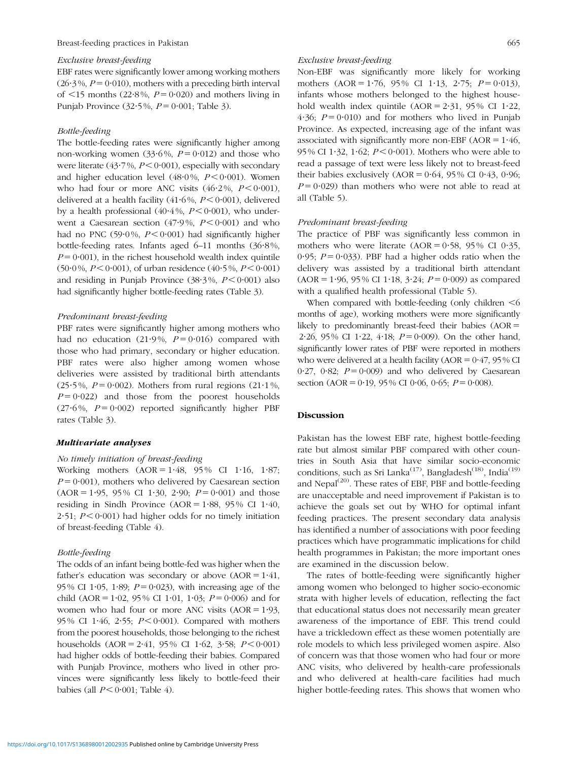#### Exclusive breast-feeding

EBF rates were significantly lower among working mothers  $(26.3\%, P=0.010)$ , mothers with a preceding birth interval of  $\leq$ 15 months (22 $\cdot$ 8%, P = 0 $\cdot$ 020) and mothers living in Punjab Province (32.5%,  $P = 0.001$ ; [Table 3\)](#page-4-0).

#### Bottle-feeding

The bottle-feeding rates were significantly higher among non-working women (33.6%,  $P = 0.012$ ) and those who were literate (43.7%,  $P < 0.001$ ), especially with secondary and higher education level (48.0%,  $P < 0.001$ ). Women who had four or more ANC visits  $(46.2\%, P < 0.001)$ , delivered at a health facility (41.6%,  $P < 0.001$ ), delivered by a health professional  $(40.4\%, P < 0.001)$ , who underwent a Caesarean section (47.9%,  $P < 0.001$ ) and who had no PNC (59.0%,  $P \le 0.001$ ) had significantly higher bottle-feeding rates. Infants aged  $6-11$  months  $(36.8\%$ .  $P = 0.001$ ), in the richest household wealth index quintile  $(50.0\%, P < 0.001)$ , of urban residence  $(40.5\%, P < 0.001)$ and residing in Punjab Province  $(38.3\%, P < 0.001)$  also had significantly higher bottle-feeding rates ([Table 3\)](#page-4-0).

## Predominant breast-feeding

PBF rates were significantly higher among mothers who had no education (21.9%,  $P = 0.016$ ) compared with those who had primary, secondary or higher education. PBF rates were also higher among women whose deliveries were assisted by traditional birth attendants  $(25.5\%, P=0.002)$ . Mothers from rural regions  $(21.1\%,$  $P = 0.022$ ) and those from the poorest households  $(27.6\%, P=0.002)$  reported significantly higher PBF rates [\(Table 3](#page-4-0)).

## Multivariate analyses

### No timely initiation of breast-feeding

Working mothers  $(AOR = 1.48, 95\% \text{ CI } 1.16, 1.87;$  $P = 0.001$ ), mothers who delivered by Caesarean section  $(AOR = 1.95, 95\% \text{ CI } 1.30, 2.90; P = 0.001)$  and those residing in Sindh Province (AOR =  $1.88$ , 95% CI  $1.40$ , 2.51;  $P < 0.001$ ) had higher odds for no timely initiation of breast-feeding [\(Table 4](#page-7-0)).

#### Bottle-feeding

The odds of an infant being bottle-fed was higher when the father's education was secondary or above  $(AOR = 1.41)$ , 95% CI 1.05, 1.89;  $P = 0.023$ ), with increasing age of the child (AOR = 1.02, 95% CI 1.01, 1.03;  $P = 0.006$ ) and for women who had four or more ANC visits  $(AOR = 1.93, ...)$ 95% CI 1.46, 2.55;  $P < 0.001$ ). Compared with mothers from the poorest households, those belonging to the richest households  $(AOR = 2.41, 95\% \text{ CI } 1.62, 3.58; P < 0.001)$ had higher odds of bottle-feeding their babies. Compared with Punjab Province, mothers who lived in other provinces were significantly less likely to bottle-feed their babies (all  $P < 0.001$ ; [Table 4\)](#page-7-0).

## Exclusive breast-feeding

Non-EBF was significantly more likely for working mothers  $(AOR = 1.76, 95\% \text{ CI } 1.13, 2.75; P = 0.013)$ , infants whose mothers belonged to the highest household wealth index quintile  $(AOR = 2.31, 95\% \text{ CI } 1.22,$ 4.36;  $P = 0.010$ ) and for mothers who lived in Punjab Province. As expected, increasing age of the infant was associated with significantly more non-EBF ( $AOR = 1.46$ , 95 % CI 1.32, 1.62;  $P < 0.001$ ). Mothers who were able to read a passage of text were less likely not to breast-feed their babies exclusively  $(AOR = 0.64, 95\% \text{ CI } 0.43, 0.96;$  $P = 0.029$ ) than mothers who were not able to read at all [\(Table 5\)](#page-9-0).

## Predominant breast-feeding

The practice of PBF was significantly less common in mothers who were literate  $(AOR = 0.58, 95\% \text{ CI } 0.35,$ 0.95;  $P = 0.033$ ). PBF had a higher odds ratio when the delivery was assisted by a traditional birth attendant  $(AOR = 1.96, 95\% \text{ CI } 1.18, 3.24; P = 0.009)$  as compared with a qualified health professional ([Table 5](#page-9-0)).

When compared with bottle-feeding (only children  $\leq 6$ months of age), working mothers were more significantly likely to predominantly breast-feed their babies  $(AOR =$ 2.26, 95% CI 1.22, 4.18;  $P = 0.009$ ). On the other hand, significantly lower rates of PBF were reported in mothers who were delivered at a health facility ( $AOR = 0.47$ , 95% CI 0.27, 0.82;  $P = 0.009$ ) and who delivered by Caesarean section (AOR = 0.19, 95% CI 0.06, 0.65;  $P = 0.008$ ).

## Discussion

Pakistan has the lowest EBF rate, highest bottle-feeding rate but almost similar PBF compared with other countries in South Asia that have similar socio-economic conditions, such as Sri Lanka<sup>[\(17](#page-12-0))</sup>, Bangladesh<sup>([18\)](#page-12-0)</sup>, India<sup>[\(19](#page-12-0))</sup> and Nepal $^{(20)}$  $^{(20)}$  $^{(20)}$ . These rates of EBF, PBF and bottle-feeding are unacceptable and need improvement if Pakistan is to achieve the goals set out by WHO for optimal infant feeding practices. The present secondary data analysis has identified a number of associations with poor feeding practices which have programmatic implications for child health programmes in Pakistan; the more important ones are examined in the discussion below.

The rates of bottle-feeding were significantly higher among women who belonged to higher socio-economic strata with higher levels of education, reflecting the fact that educational status does not necessarily mean greater awareness of the importance of EBF. This trend could have a trickledown effect as these women potentially are role models to which less privileged women aspire. Also of concern was that those women who had four or more ANC visits, who delivered by health-care professionals and who delivered at health-care facilities had much higher bottle-feeding rates. This shows that women who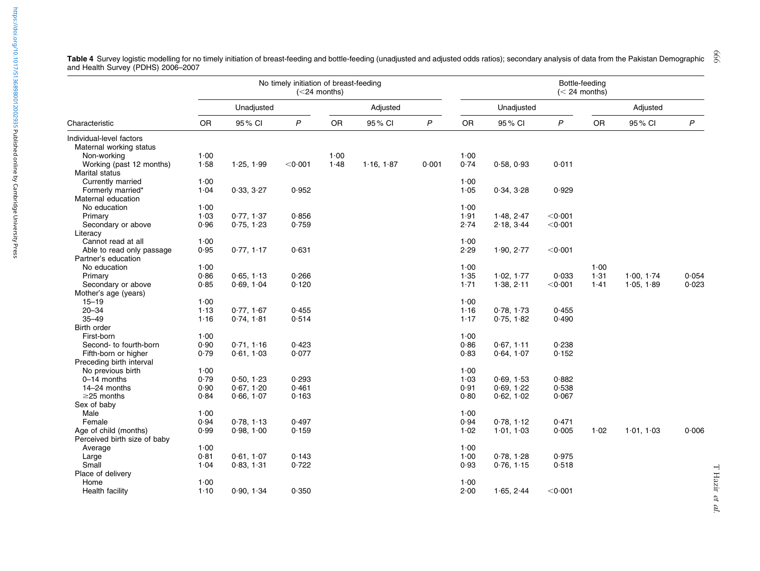|                              |      |            | No timely initiation of breast-feeding | $(<$ 24 months) |            |       | Bottle-feeding<br>$(< 24$ months) |            |                   |      |            |              |  |
|------------------------------|------|------------|----------------------------------------|-----------------|------------|-------|-----------------------------------|------------|-------------------|------|------------|--------------|--|
|                              |      | Unadjusted |                                        |                 | Adjusted   |       |                                   | Unadjusted |                   |      | Adjusted   |              |  |
| Characteristic               | OR   | 95% CI     | $\mathsf{P}$                           | OR              | 95% CI     | P     | <b>OR</b>                         | 95% CI     | $\mathsf{P}$      | OR   | 95% CI     | $\mathsf{P}$ |  |
| Individual-level factors     |      |            |                                        |                 |            |       |                                   |            |                   |      |            |              |  |
| Maternal working status      |      |            |                                        |                 |            |       |                                   |            |                   |      |            |              |  |
| Non-working                  | 1.00 |            |                                        | 1.00            |            |       | 1.00                              |            |                   |      |            |              |  |
| Working (past 12 months)     | 1.58 | 1.25, 1.99 | $<$ 0 $\cdot$ 001                      | 1.48            | 1.16, 1.87 | 0.001 | 0.74                              | 0.58, 0.93 | 0.011             |      |            |              |  |
| Marital status               |      |            |                                        |                 |            |       |                                   |            |                   |      |            |              |  |
| Currently married            | 1.00 |            |                                        |                 |            |       | 1.00                              |            |                   |      |            |              |  |
| Formerly married*            | 1.04 | 0.33, 3.27 | 0.952                                  |                 |            |       | 1.05                              | 0.34, 3.28 | 0.929             |      |            |              |  |
| Maternal education           |      |            |                                        |                 |            |       |                                   |            |                   |      |            |              |  |
| No education                 | 1.00 |            |                                        |                 |            |       | 1.00                              |            |                   |      |            |              |  |
| Primary                      | 1.03 | 0.77, 1.37 | 0.856                                  |                 |            |       | 1.91                              | 1.48, 2.47 | $<$ 0 $\cdot$ 001 |      |            |              |  |
| Secondary or above           | 0.96 | 0.75, 1.23 | 0.759                                  |                 |            |       | 2.74                              | 2.18, 3.44 | $<$ 0 $\cdot$ 001 |      |            |              |  |
| Literacy                     |      |            |                                        |                 |            |       |                                   |            |                   |      |            |              |  |
| Cannot read at all           | 1.00 |            |                                        |                 |            |       | 1.00                              |            |                   |      |            |              |  |
| Able to read only passage    | 0.95 | 0.77, 1.17 | 0.631                                  |                 |            |       | 2.29                              | 1.90, 2.77 | $<$ 0 $\cdot$ 001 |      |            |              |  |
| Partner's education          |      |            |                                        |                 |            |       |                                   |            |                   |      |            |              |  |
| No education                 | 1.00 |            |                                        |                 |            |       | 1.00                              |            |                   | 1.00 |            |              |  |
| Primary                      | 0.86 | 0.65, 1.13 | 0.266                                  |                 |            |       | 1.35                              | 1.02, 1.77 | 0.033             | 1.31 | 1.00.174   | 0.054        |  |
| Secondary or above           | 0.85 | 0.69, 1.04 | 0.120                                  |                 |            |       | 1.71                              | 1.38, 2.11 | $<$ 0 $\cdot$ 001 | 1.41 | 1.05, 1.89 | 0.023        |  |
| Mother's age (years)         |      |            |                                        |                 |            |       |                                   |            |                   |      |            |              |  |
| $15 - 19$                    | 1.00 |            |                                        |                 |            |       | 1.00                              |            |                   |      |            |              |  |
| $20 - 34$                    | 1.13 | 0.77, 1.67 | 0.455                                  |                 |            |       | 1.16                              | 0.78, 1.73 | 0.455             |      |            |              |  |
| $35 - 49$                    | 1.16 | 0.74, 1.81 | 0.514                                  |                 |            |       | 1.17                              | 0.75, 1.82 | 0.490             |      |            |              |  |
| Birth order                  |      |            |                                        |                 |            |       |                                   |            |                   |      |            |              |  |
| First-born                   | 1.00 |            |                                        |                 |            |       | 1.00                              |            |                   |      |            |              |  |
| Second- to fourth-born       | 0.90 | 0.71, 1.16 | 0.423                                  |                 |            |       | 0.86                              | 0.67, 1.11 | 0.238             |      |            |              |  |
| Fifth-born or higher         | 0.79 | 0.61, 1.03 | 0.077                                  |                 |            |       | 0.83                              | 0.64, 1.07 | 0.152             |      |            |              |  |
| Preceding birth interval     |      |            |                                        |                 |            |       |                                   |            |                   |      |            |              |  |
| No previous birth            | 1.00 |            |                                        |                 |            |       | 1.00                              |            |                   |      |            |              |  |
| 0-14 months                  | 0.79 | 0.50, 1.23 | 0.293                                  |                 |            |       | 1.03                              | 0.69, 1.53 | 0.882             |      |            |              |  |
| 14-24 months                 | 0.90 | 0.67, 1.20 | 0.461                                  |                 |            |       | 0.91                              | 0.69, 1.22 | 0.538             |      |            |              |  |
| $\geq$ 25 months             | 0.84 | 0.66, 1.07 | 0.163                                  |                 |            |       | 0.80                              | 0.62, 1.02 | 0.067             |      |            |              |  |
| Sex of baby                  |      |            |                                        |                 |            |       |                                   |            |                   |      |            |              |  |
| Male                         | 1.00 |            |                                        |                 |            |       | 1.00                              |            |                   |      |            |              |  |
| Female                       | 0.94 | 0.78, 1.13 | 0.497                                  |                 |            |       | 0.94                              | 0.78, 1.12 | 0.471             |      |            |              |  |
| Age of child (months)        | 0.99 | 0.98, 1.00 | 0.159                                  |                 |            |       | 1.02                              | 1.01, 1.03 | 0.005             | 1.02 | 1.01, 1.03 | 0.006        |  |
| Perceived birth size of baby |      |            |                                        |                 |            |       |                                   |            |                   |      |            |              |  |
| Average                      | 1.00 |            |                                        |                 |            |       | 1.00                              |            |                   |      |            |              |  |
| Large                        | 0.81 | 0.61, 1.07 | 0.143                                  |                 |            |       | 1.00                              | 0.78, 1.28 | 0.975             |      |            |              |  |
| Small                        | 1.04 | 0.83, 1.31 | 0.722                                  |                 |            |       | 0.93                              | 0.76, 1.15 | 0.518             |      |            |              |  |
| Place of delivery            |      |            |                                        |                 |            |       |                                   |            |                   |      |            |              |  |
| Home                         | 1.00 |            |                                        |                 |            |       | 1.00                              |            |                   |      |            |              |  |
| <b>Health facility</b>       | 1.10 | 0.90, 1.34 | 0.350                                  |                 |            |       | 2.00                              | 1.65, 2.44 | $<$ 0 $\cdot$ 001 |      |            |              |  |
|                              |      |            |                                        |                 |            |       |                                   |            |                   |      |            |              |  |

<span id="page-7-0"></span>Table 4 Survey logistic modelling for no timely initiation of breast-feeding and bottle-feeding (unadjusted and adjusted odds ratios); secondary analysis of data from the Pakistan Demographic and Health Survey (PDHS) 2006–2007 666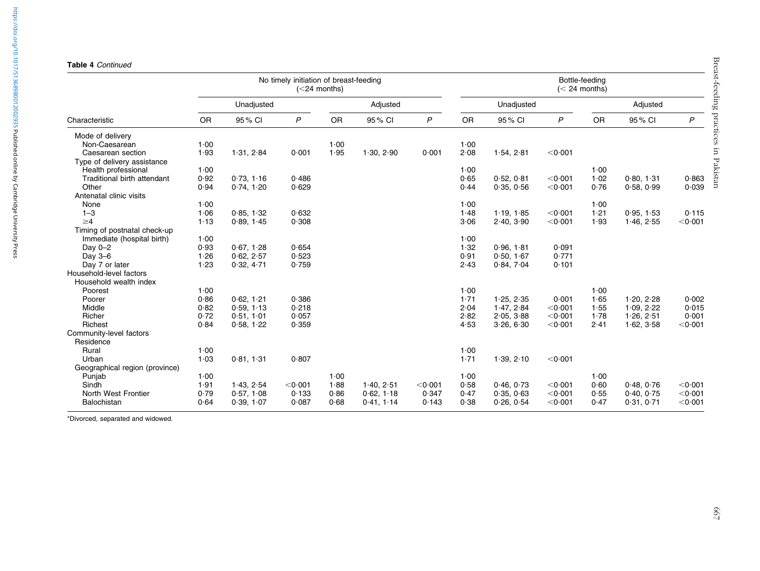## Table 4 Continued

https://doi.org/10.1017/S1368980012002935 Published online by Cambridge University Press <https://doi.org/10.1017/S1368980012002935>Published online by Cambridge University Press

|                                    |           |            | No timely initiation of breast-feeding | $(<$ 24 months) |            | Bottle-feeding<br>$(< 24$ months) |           |            |                   |           |            |                   |
|------------------------------------|-----------|------------|----------------------------------------|-----------------|------------|-----------------------------------|-----------|------------|-------------------|-----------|------------|-------------------|
|                                    |           | Unadjusted |                                        |                 | Adjusted   |                                   |           | Unadjusted |                   |           | Adjusted   |                   |
| Characteristic                     | <b>OR</b> | 95% CI     | $\mathsf{P}$                           | <b>OR</b>       | 95% CI     | $\mathsf{P}$                      | <b>OR</b> | 95% CI     | $\mathsf{P}$      | <b>OR</b> | 95% CI     | P                 |
| Mode of delivery                   |           |            |                                        |                 |            |                                   |           |            |                   |           |            |                   |
| Non-Caesarean                      | 1.00      |            |                                        | 1.00            |            |                                   | 1.00      |            |                   |           |            |                   |
| Caesarean section                  | 1.93      | 1.31, 2.84 | 0.001                                  | 1.95            | 1.30, 2.90 | 0.001                             | 2.08      | 1.54, 2.81 | < 0.001           |           |            |                   |
| Type of delivery assistance        |           |            |                                        |                 |            |                                   |           |            |                   |           |            |                   |
| Health professional                | 1.00      |            |                                        |                 |            |                                   | 1.00      |            |                   | 1.00      |            |                   |
| <b>Traditional birth attendant</b> | 0.92      | 0.73, 1.16 | 0.486                                  |                 |            |                                   | 0.65      | 0.52, 0.81 | $<$ 0 $\cdot$ 001 | 1.02      | 0.80, 1.31 | 0.863             |
| Other                              | 0.94      | 0.74, 1.20 | 0.629                                  |                 |            |                                   | 0.44      | 0.35, 0.56 | < 0.001           | 0.76      | 0.58, 0.99 | 0.039             |
| Antenatal clinic visits            |           |            |                                        |                 |            |                                   |           |            |                   |           |            |                   |
| None                               | 1.00      |            |                                        |                 |            |                                   | 1.00      |            |                   | 1.00      |            |                   |
| $1 - 3$                            | 1.06      | 0.85.1.32  | 0.632                                  |                 |            |                                   | 1.48      | 1.19.185   | $<$ 0 $\cdot$ 001 | 1.21      | 0.95.1.53  | 0.115             |
| $\geq 4$                           | 1.13      | 0.89, 1.45 | 0.308                                  |                 |            |                                   | 3.06      | 2.40, 3.90 | $<$ 0 $\cdot$ 001 | 1.93      | 1.46, 2.55 | < 0.001           |
| Timing of postnatal check-up       |           |            |                                        |                 |            |                                   |           |            |                   |           |            |                   |
| Immediate (hospital birth)         | 1.00      |            |                                        |                 |            |                                   | 1.00      |            |                   |           |            |                   |
| Day 0-2                            | 0.93      | 0.67, 1.28 | 0.654                                  |                 |            |                                   | 1.32      | 0.96, 1.81 | 0.091             |           |            |                   |
| Day 3-6                            | 1.26      | 0.62, 2.57 | 0.523                                  |                 |            |                                   | 0.91      | 0.50.167   | 0.771             |           |            |                   |
| Day 7 or later                     | 1.23      | 0.32, 4.71 | 0.759                                  |                 |            |                                   | 2.43      | 0.84, 7.04 | 0.101             |           |            |                   |
| Household-level factors            |           |            |                                        |                 |            |                                   |           |            |                   |           |            |                   |
| Household wealth index             |           |            |                                        |                 |            |                                   |           |            |                   |           |            |                   |
| Poorest                            | 1.00      |            |                                        |                 |            |                                   | 1.00      |            |                   | 1.00      |            |                   |
| Poorer                             | 0.86      | 0.62, 1.21 | 0.386                                  |                 |            |                                   | 1.71      | 1.25, 2.35 | 0.001             | 1.65      | 1.20, 2.28 | 0.002             |
| Middle                             | 0.82      | 0.59, 1.13 | 0.218                                  |                 |            |                                   | 2.04      | 1.47, 2.84 | < 0.001           | 1.55      | 1.09, 2.22 | 0.015             |
| Richer                             | 0.72      | 0.51, 1.01 | 0.057                                  |                 |            |                                   | 2.82      | 2.05, 3.88 | $<$ 0 $\cdot$ 001 | 1.78      | 1.26, 2.51 | 0.001             |
| Richest                            | 0.84      | 0.58, 1.22 | 0.359                                  |                 |            |                                   | 4.53      | 3.26, 6.30 | $<$ 0 $\cdot$ 001 | 2.41      | 1.62, 3.58 | $<$ 0 $\cdot$ 001 |
| Community-level factors            |           |            |                                        |                 |            |                                   |           |            |                   |           |            |                   |
| Residence                          |           |            |                                        |                 |            |                                   |           |            |                   |           |            |                   |
| Rural                              | 1.00      |            |                                        |                 |            |                                   | 1.00      |            |                   |           |            |                   |
| Urban                              | 1.03      | 0.81, 1.31 | 0.807                                  |                 |            |                                   | 1.71      | 1.39, 2.10 | $<$ 0 $\cdot$ 001 |           |            |                   |
| Geographical region (province)     |           |            |                                        |                 |            |                                   |           |            |                   |           |            |                   |
| Punjab                             | 1.00      |            |                                        | 1.00            |            |                                   | 1.00      |            |                   | 1.00      |            |                   |
| Sindh                              | 1.91      | 1.43, 2.54 | < 0.001                                | 1.88            | 1.40, 2.51 | < 0.001                           | 0.58      | 0.46.0.73  | $<$ 0 $\cdot$ 001 | 0.60      | 0.48, 0.76 | < 0.001           |
| North West Frontier                | 0.79      | 0.57, 1.08 | 0.133                                  | 0.86            | 0.62, 1.18 | 0.347                             | 0.47      | 0.35, 0.63 | $<$ 0 $\cdot$ 001 | 0.55      | 0.40, 0.75 | $<$ 0 $\cdot$ 001 |
| Balochistan                        | 0.64      | 0.39, 1.07 | 0.087                                  | 0.68            | 0.41, 1.14 | 0.143                             | 0.38      | 0.26, 0.54 | $<$ 0 $\cdot$ 001 | 0.47      | 0.31, 0.71 | $<$ 0 $\cdot$ 001 |

\*Divorced, separated and widowed.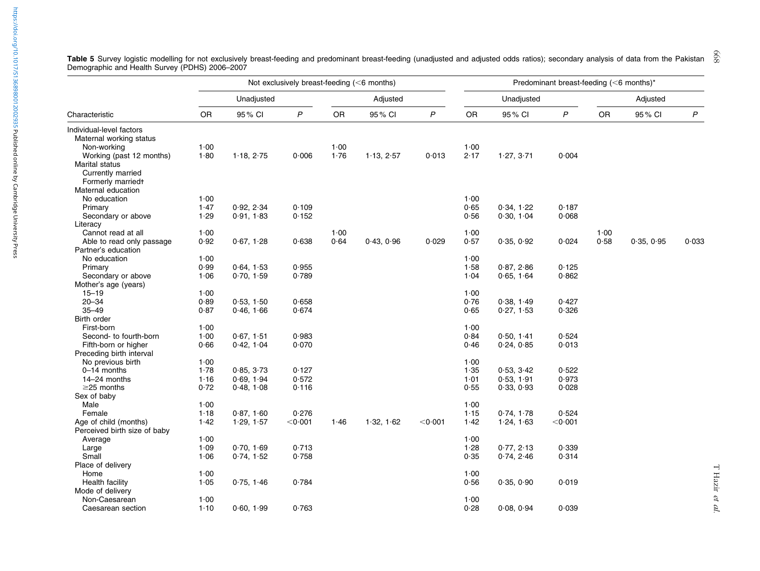|                              |           |            | Not exclusively breast-feeding (<6 months) |           |            | Predominant breast-feeding $(<$ 6 months)* |           |            |                   |           |            |                  |
|------------------------------|-----------|------------|--------------------------------------------|-----------|------------|--------------------------------------------|-----------|------------|-------------------|-----------|------------|------------------|
|                              |           | Unadjusted |                                            |           | Adjusted   |                                            |           | Unadjusted |                   |           | Adjusted   |                  |
| Characteristic               | <b>OR</b> | 95% CI     | $\mathsf{P}$                               | <b>OR</b> | 95% CI     | $\mathsf{P}$                               | <b>OR</b> | 95% CI     | $\mathsf{P}$      | <b>OR</b> | 95% CI     | $\boldsymbol{P}$ |
| Individual-level factors     |           |            |                                            |           |            |                                            |           |            |                   |           |            |                  |
| Maternal working status      |           |            |                                            |           |            |                                            |           |            |                   |           |            |                  |
| Non-working                  | 1.00      |            |                                            | 1.00      |            |                                            | 1.00      |            |                   |           |            |                  |
| Working (past 12 months)     | 1.80      | 1.18, 2.75 | 0.006                                      | 1.76      | 1.13, 2.57 | 0.013                                      | 2.17      | 1.27, 3.71 | 0.004             |           |            |                  |
| Marital status               |           |            |                                            |           |            |                                            |           |            |                   |           |            |                  |
| Currently married            |           |            |                                            |           |            |                                            |           |            |                   |           |            |                  |
| Formerly marriedt            |           |            |                                            |           |            |                                            |           |            |                   |           |            |                  |
| Maternal education           |           |            |                                            |           |            |                                            |           |            |                   |           |            |                  |
| No education                 | 1.00      |            |                                            |           |            |                                            | 1.00      |            |                   |           |            |                  |
| Primary                      | 1.47      | 0.92, 2.34 | 0.109                                      |           |            |                                            | 0.65      | 0.34, 1.22 | 0.187             |           |            |                  |
| Secondary or above           | 1.29      | 0.91, 1.83 | 0.152                                      |           |            |                                            | 0.56      | 0.30, 1.04 | 0.068             |           |            |                  |
| Literacy                     |           |            |                                            |           |            |                                            |           |            |                   |           |            |                  |
| Cannot read at all           | 1.00      |            |                                            | 1.00      |            |                                            | 1.00      |            |                   | 1.00      |            |                  |
| Able to read only passage    | 0.92      | 0.67, 1.28 | 0.638                                      | 0.64      | 0.43, 0.96 | 0.029                                      | 0.57      | 0.35, 0.92 | 0.024             | 0.58      | 0.35, 0.95 | 0.033            |
| Partner's education          |           |            |                                            |           |            |                                            |           |            |                   |           |            |                  |
| No education                 | 1.00      |            |                                            |           |            |                                            | 1.00      |            |                   |           |            |                  |
| Primary                      | 0.99      | 0.64, 1.53 | 0.955                                      |           |            |                                            | 1.58      | 0.87, 2.86 | 0.125             |           |            |                  |
| Secondary or above           | 1.06      | 0.70, 1.59 | 0.789                                      |           |            |                                            | 1.04      | 0.65, 1.64 | 0.862             |           |            |                  |
| Mother's age (years)         |           |            |                                            |           |            |                                            |           |            |                   |           |            |                  |
| $15 - 19$                    | 1.00      |            |                                            |           |            |                                            | 1.00      |            |                   |           |            |                  |
| $20 - 34$                    | 0.89      | 0.53, 1.50 | 0.658                                      |           |            |                                            | 0.76      | 0.38, 1.49 | 0.427             |           |            |                  |
| $35 - 49$                    | 0.87      | 0.46, 1.66 | 0.674                                      |           |            |                                            | 0.65      | 0.27, 1.53 | 0.326             |           |            |                  |
| Birth order                  |           |            |                                            |           |            |                                            |           |            |                   |           |            |                  |
|                              | 1.00      |            |                                            |           |            |                                            | 1.00      |            |                   |           |            |                  |
| First-born                   |           |            |                                            |           |            |                                            |           |            |                   |           |            |                  |
| Second- to fourth-born       | $1 - 00$  | 0.67, 1.51 | 0.983                                      |           |            |                                            | 0.84      | 0.50, 1.41 | 0.524             |           |            |                  |
| Fifth-born or higher         | 0.66      | 0.42, 1.04 | 0.070                                      |           |            |                                            | 0.46      | 0.24, 0.85 | 0.013             |           |            |                  |
| Preceding birth interval     |           |            |                                            |           |            |                                            |           |            |                   |           |            |                  |
| No previous birth            | 1.00      |            |                                            |           |            |                                            | 1.00      |            |                   |           |            |                  |
| 0-14 months                  | 1.78      | 0.85, 3.73 | 0.127                                      |           |            |                                            | 1.35      | 0.53, 3.42 | 0.522             |           |            |                  |
| 14-24 months                 | 1.16      | 0.69, 1.94 | 0.572                                      |           |            |                                            | 1.01      | 0.53, 1.91 | 0.973             |           |            |                  |
| $\geq$ 25 months             | 0.72      | 0.48, 1.08 | 0.116                                      |           |            |                                            | 0.55      | 0.33, 0.93 | 0.028             |           |            |                  |
| Sex of baby                  |           |            |                                            |           |            |                                            |           |            |                   |           |            |                  |
| Male                         | 1.00      |            |                                            |           |            |                                            | 1.00      |            |                   |           |            |                  |
| Female                       | 1.18      | 0.87, 1.60 | 0.276                                      |           |            |                                            | 1.15      | 0.74, 1.78 | 0.524             |           |            |                  |
| Age of child (months)        | 1.42      | 1.29, 1.57 | $<$ 0 $\cdot$ 001                          | 1.46      | 1.32, 1.62 | < 0.001                                    | 1.42      | 1.24, 1.63 | $<$ 0 $\cdot$ 001 |           |            |                  |
| Perceived birth size of baby |           |            |                                            |           |            |                                            |           |            |                   |           |            |                  |
| Average                      | 1.00      |            |                                            |           |            |                                            | 1.00      |            |                   |           |            |                  |
| Large                        | 1.09      | 0.70, 1.69 | 0.713                                      |           |            |                                            | 1.28      | 0.77, 2.13 | 0.339             |           |            |                  |
| Small                        | 1.06      | 0.74, 1.52 | 0.758                                      |           |            |                                            | 0.35      | 0.74, 2.46 | 0.314             |           |            |                  |
| Place of delivery            |           |            |                                            |           |            |                                            |           |            |                   |           |            |                  |
| Home                         | 1.00      |            |                                            |           |            |                                            | 1.00      |            |                   |           |            |                  |
| Health facility              | 1.05      | 0.75, 1.46 | 0.784                                      |           |            |                                            | 0.56      | 0.35, 0.90 | 0.019             |           |            |                  |
| Mode of delivery             |           |            |                                            |           |            |                                            |           |            |                   |           |            |                  |
| Non-Caesarean                | 1.00      |            |                                            |           |            |                                            | 1.00      |            |                   |           |            |                  |
| Caesarean section            | 1.10      | 0.60, 1.99 | 0.763                                      |           |            |                                            | 0.28      | 0.08, 0.94 | 0.039             |           |            |                  |
|                              |           |            |                                            |           |            |                                            |           |            |                   |           |            |                  |

<span id="page-9-0"></span>Table 5 Survey logistic modelling for not exclusively breast-feeding and predominant breast-feeding (unadjusted and adjusted odds ratios); secondary analysis of data from the Pakistan Demographic and Health Survey (PDHS) 2006–2007 668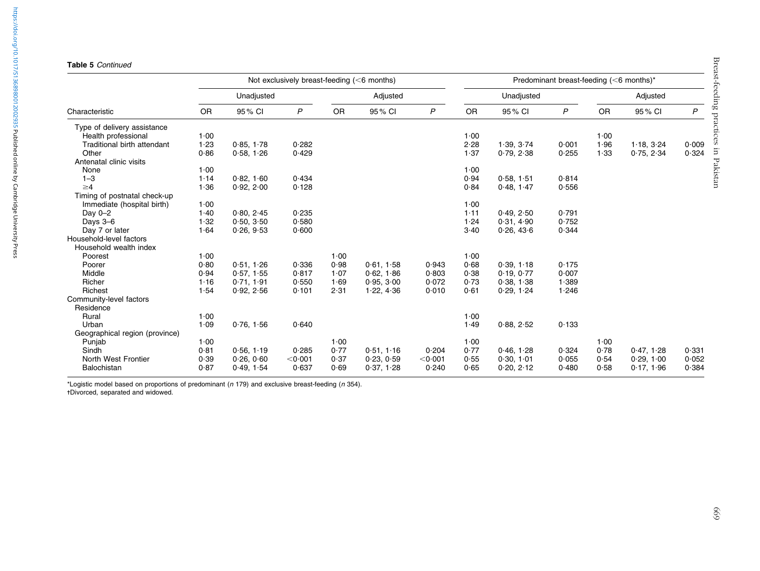|                                |            |            | Not exclusively breast-feeding $(<$ 6 months) |           |            | Predominant breast-feeding (<6 months)* |           |            |              |           |            |       |
|--------------------------------|------------|------------|-----------------------------------------------|-----------|------------|-----------------------------------------|-----------|------------|--------------|-----------|------------|-------|
|                                | Unadjusted |            |                                               |           | Adjusted   |                                         |           | Unadjusted |              |           | Adjusted   |       |
| Characteristic                 | <b>OR</b>  | 95% CI     | $\mathsf{P}$                                  | <b>OR</b> | 95% CI     | $\overline{P}$                          | <b>OR</b> | 95% CI     | $\mathsf{P}$ | <b>OR</b> | 95 % CI    | P     |
| Type of delivery assistance    |            |            |                                               |           |            |                                         |           |            |              |           |            |       |
| Health professional            | 1.00       |            |                                               |           |            |                                         | 1.00      |            |              | 1.00      |            |       |
| Traditional birth attendant    | 1.23       | 0.85, 1.78 | 0.282                                         |           |            |                                         | 2.28      | 1.39.3.74  | 0.001        | 1.96      | 1.18.324   | 0.009 |
| Other                          | 0.86       | 0.58, 1.26 | 0.429                                         |           |            |                                         | 1.37      | 0.79, 2.38 | 0.255        | 1.33      | 0.75, 2.34 | 0.324 |
| Antenatal clinic visits        |            |            |                                               |           |            |                                         |           |            |              |           |            |       |
| None                           | 1.00       |            |                                               |           |            |                                         | 1.00      |            |              |           |            |       |
| $1 - 3$                        | 1.14       | 0.82, 1.60 | 0.434                                         |           |            |                                         | 0.94      | 0.58, 1.51 | 0.814        |           |            |       |
| $\geq 4$                       | 1.36       | 0.92, 2.00 | 0.128                                         |           |            |                                         | 0.84      | 0.48, 1.47 | 0.556        |           |            |       |
| Timing of postnatal check-up   |            |            |                                               |           |            |                                         |           |            |              |           |            |       |
| Immediate (hospital birth)     | 1.00       |            |                                               |           |            |                                         | 1.00      |            |              |           |            |       |
| Day $0-2$                      | 1.40       | 0.80, 2.45 | 0.235                                         |           |            |                                         | 1.11      | 0.49, 2.50 | 0.791        |           |            |       |
| Days 3-6                       | 1.32       | 0.50, 3.50 | 0.580                                         |           |            |                                         | 1.24      | 0.31.4.90  | 0.752        |           |            |       |
| Day 7 or later                 | 1.64       | 0.26, 9.53 | 0.600                                         |           |            |                                         | 3.40      | 0.26, 43.6 | 0.344        |           |            |       |
| Household-level factors        |            |            |                                               |           |            |                                         |           |            |              |           |            |       |
| Household wealth index         |            |            |                                               |           |            |                                         |           |            |              |           |            |       |
| Poorest                        | 1.00       |            |                                               | 1.00      |            |                                         | 1.00      |            |              |           |            |       |
| Poorer                         | 0.80       | 0.51, 1.26 | 0.336                                         | 0.98      | 0.61, 1.58 | 0.943                                   | 0.68      | 0.39, 1.18 | 0.175        |           |            |       |
| Middle                         | 0.94       | 0.57, 1.55 | 0.817                                         | 1.07      | 0.62, 1.86 | 0.803                                   | 0.38      | 0.19, 0.77 | 0.007        |           |            |       |
| Richer                         | 1.16       | 0.71, 1.91 | 0.550                                         | 1.69      | 0.95, 3.00 | 0.072                                   | 0.73      | 0.38, 1.38 | 1.389        |           |            |       |
| Richest                        | 1.54       | 0.92, 2.56 | 0.101                                         | 2.31      | 1.22, 4.36 | 0.010                                   | 0.61      | 0.29, 1.24 | 1.246        |           |            |       |
| Community-level factors        |            |            |                                               |           |            |                                         |           |            |              |           |            |       |
| Residence                      |            |            |                                               |           |            |                                         |           |            |              |           |            |       |
| Rural                          | 1.00       |            |                                               |           |            |                                         | 1.00      |            |              |           |            |       |
| Urban                          | 1.09       | 0.76, 1.56 | 0.640                                         |           |            |                                         | 1.49      | 0.88, 2.52 | 0.133        |           |            |       |
| Geographical region (province) |            |            |                                               |           |            |                                         |           |            |              |           |            |       |
| Punjab                         | 1.00       |            |                                               | 1.00      |            |                                         | 1.00      |            |              | 1.00      |            |       |
| Sindh                          | 0.81       | 0.56, 1.19 | 0.285                                         | 0.77      | 0.51, 1.16 | 0.204                                   | 0.77      | 0.46, 1.28 | 0.324        | 0.78      | 0.47, 1.28 | 0.331 |
| North West Frontier            | 0.39       | 0.26, 0.60 | $<$ 0 $\cdot$ 001                             | 0.37      | 0.23, 0.59 | < 0.001                                 | 0.55      | 0.30, 1.01 | 0.055        | 0.54      | 0.29, 1.00 | 0.052 |
| Balochistan                    | 0.87       | 0.49, 1.54 | 0.637                                         | 0.69      | 0.37, 1.28 | 0.240                                   | 0.65      | 0.20, 2.12 | 0.480        | 0.58      | 0.17, 1.96 | 0.384 |
|                                |            |            |                                               |           |            |                                         |           |            |              |           |            |       |

https://doi.org/10.1017/S1368980012002935 Published online by Cambridge University Press <https://doi.org/10.1017/S1368980012002935>Published online by Cambridge University Press

\*Logistic model based on proportions of predominant (<sup>n</sup> 179) and exclusive breast-feeding (<sup>n</sup> 354). -Divorced, separated and widowed.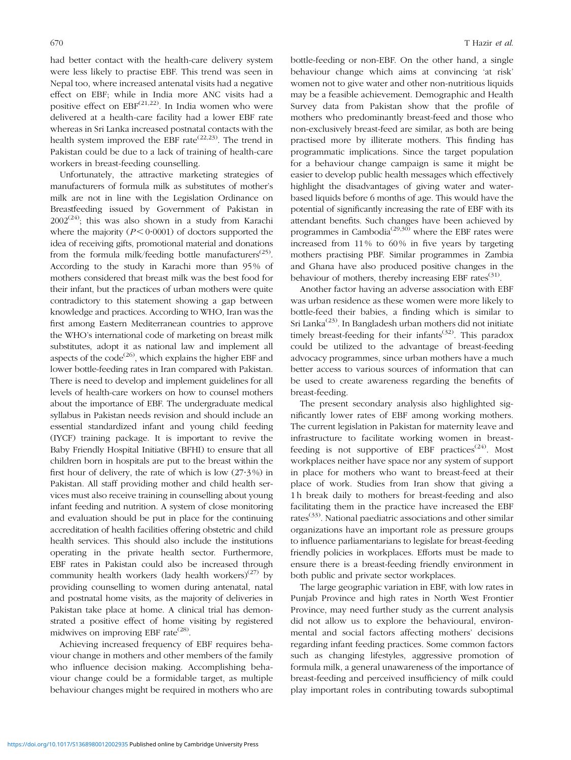had better contact with the health-care delivery system were less likely to practise EBF. This trend was seen in Nepal too, where increased antenatal visits had a negative effect on EBF; while in India more ANC visits had a positive effect on  $EBF^{(21,22)}$  $EBF^{(21,22)}$  $EBF^{(21,22)}$ . In India women who were delivered at a health-care facility had a lower EBF rate whereas in Sri Lanka increased postnatal contacts with the health system improved the EBF rate<sup> $(22,23)$  $(22,23)$ </sup>. The trend in Pakistan could be due to a lack of training of health-care workers in breast-feeding counselling.

Unfortunately, the attractive marketing strategies of manufacturers of formula milk as substitutes of mother's milk are not in line with the Legislation Ordinance on Breastfeeding issued by Government of Pakistan in  $2002^{(24)}$  $2002^{(24)}$  $2002^{(24)}$ ; this was also shown in a study from Karachi where the majority  $(P < 0.0001)$  of doctors supported the idea of receiving gifts, promotional material and donations from the formula milk/feeding bottle manufacturers<sup>[\(25\)](#page-13-0)</sup>. According to the study in Karachi more than 95% of mothers considered that breast milk was the best food for their infant, but the practices of urban mothers were quite contradictory to this statement showing a gap between knowledge and practices. According to WHO, Iran was the first among Eastern Mediterranean countries to approve the WHO's international code of marketing on breast milk substitutes, adopt it as national law and implement all aspects of the code<sup> $(26)$  $(26)$ </sup>, which explains the higher EBF and lower bottle-feeding rates in Iran compared with Pakistan. There is need to develop and implement guidelines for all levels of health-care workers on how to counsel mothers about the importance of EBF. The undergraduate medical syllabus in Pakistan needs revision and should include an essential standardized infant and young child feeding (IYCF) training package. It is important to revive the Baby Friendly Hospital Initiative (BFHI) to ensure that all children born in hospitals are put to the breast within the first hour of delivery, the rate of which is low  $(27.3%)$  in Pakistan. All staff providing mother and child health services must also receive training in counselling about young infant feeding and nutrition. A system of close monitoring and evaluation should be put in place for the continuing accreditation of health facilities offering obstetric and child health services. This should also include the institutions operating in the private health sector. Furthermore, EBF rates in Pakistan could also be increased through community health workers (lady health workers)<sup>([27\)](#page-13-0)</sup> by providing counselling to women during antenatal, natal and postnatal home visits, as the majority of deliveries in Pakistan take place at home. A clinical trial has demonstrated a positive effect of home visiting by registered midwives on improving EBF rate<sup>([28](#page-13-0))</sup>.

Achieving increased frequency of EBF requires behaviour change in mothers and other members of the family who influence decision making. Accomplishing behaviour change could be a formidable target, as multiple behaviour changes might be required in mothers who are

bottle-feeding or non-EBF. On the other hand, a single behaviour change which aims at convincing 'at risk' women not to give water and other non-nutritious liquids may be a feasible achievement. Demographic and Health Survey data from Pakistan show that the profile of mothers who predominantly breast-feed and those who non-exclusively breast-feed are similar, as both are being practised more by illiterate mothers. This finding has programmatic implications. Since the target population for a behaviour change campaign is same it might be easier to develop public health messages which effectively highlight the disadvantages of giving water and waterbased liquids before 6 months of age. This would have the potential of significantly increasing the rate of EBF with its attendant benefits. Such changes have been achieved by programmes in Cambodia<sup>[\(29](#page-13-0),[30\)](#page-13-0)</sup> where the EBF rates were increased from 11% to 60% in five years by targeting mothers practising PBF. Similar programmes in Zambia and Ghana have also produced positive changes in the behaviour of mothers, thereby increasing EBF rates $(31)$ .

Another factor having an adverse association with EBF was urban residence as these women were more likely to bottle-feed their babies, a finding which is similar to Sri Lanka[\(23\)](#page-13-0). In Bangladesh urban mothers did not initiate timely breast-feeding for their infants<sup>([32\)](#page-13-0)</sup>. This paradox could be utilized to the advantage of breast-feeding advocacy programmes, since urban mothers have a much better access to various sources of information that can be used to create awareness regarding the benefits of breast-feeding.

The present secondary analysis also highlighted significantly lower rates of EBF among working mothers. The current legislation in Pakistan for maternity leave and infrastructure to facilitate working women in breastfeeding is not supportive of EBF practices<sup> $(24)$  $(24)$ </sup>. Most workplaces neither have space nor any system of support in place for mothers who want to breast-feed at their place of work. Studies from Iran show that giving a 1 h break daily to mothers for breast-feeding and also facilitating them in the practice have increased the EBF rates<sup> $(33)$  $(33)$ </sup>. National paediatric associations and other similar organizations have an important role as pressure groups to influence parliamentarians to legislate for breast-feeding friendly policies in workplaces. Efforts must be made to ensure there is a breast-feeding friendly environment in both public and private sector workplaces.

The large geographic variation in EBF, with low rates in Punjab Province and high rates in North West Frontier Province, may need further study as the current analysis did not allow us to explore the behavioural, environmental and social factors affecting mothers' decisions regarding infant feeding practices. Some common factors such as changing lifestyles, aggressive promotion of formula milk, a general unawareness of the importance of breast-feeding and perceived insufficiency of milk could play important roles in contributing towards suboptimal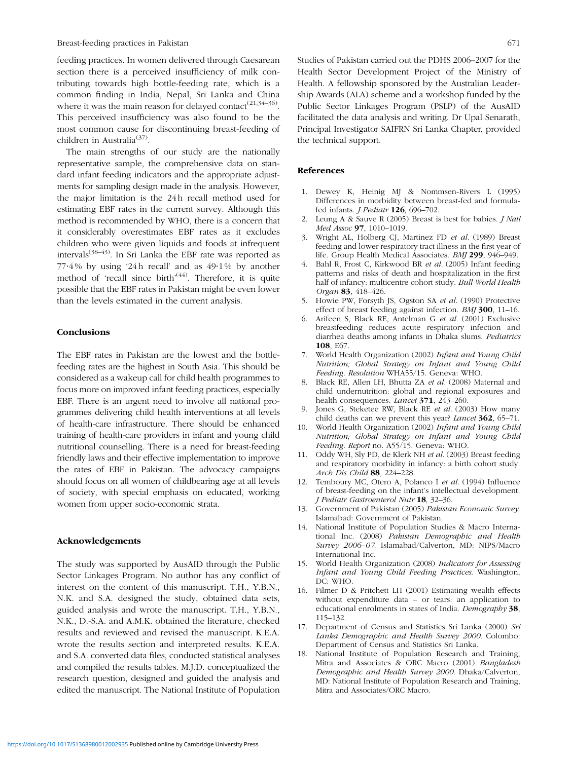<span id="page-12-0"></span>feeding practices. In women delivered through Caesarean section there is a perceived insufficiency of milk contributing towards high bottle-feeding rate, which is a common finding in India, Nepal, Sri Lanka and China where it was the main reason for delayed contact<sup>[\(21,34](#page-13-0)–[36\)](#page-13-0)</sup>. This perceived insufficiency was also found to be the most common cause for discontinuing breast-feeding of children in Australia<sup>[\(37](#page-13-0))</sup>.

The main strengths of our study are the nationally representative sample, the comprehensive data on standard infant feeding indicators and the appropriate adjustments for sampling design made in the analysis. However, the major limitation is the 24h recall method used for estimating EBF rates in the current survey. Although this method is recommended by WHO, there is a concern that it considerably overestimates EBF rates as it excludes children who were given liquids and foods at infrequent intervals<sup> $(38-43)$ </sup>. In Sri Lanka the EBF rate was reported as  $77.4\%$  by using '24h recall' and as  $49.1\%$  by another method of 'recall since birth'<sup>[\(44](#page-13-0))</sup>. Therefore, it is quite possible that the EBF rates in Pakistan might be even lower than the levels estimated in the current analysis.

## **Conclusions**

The EBF rates in Pakistan are the lowest and the bottlefeeding rates are the highest in South Asia. This should be considered as a wakeup call for child health programmes to focus more on improved infant feeding practices, especially EBF. There is an urgent need to involve all national programmes delivering child health interventions at all levels of health-care infrastructure. There should be enhanced training of health-care providers in infant and young child nutritional counselling. There is a need for breast-feeding friendly laws and their effective implementation to improve the rates of EBF in Pakistan. The advocacy campaigns should focus on all women of childbearing age at all levels of society, with special emphasis on educated, working women from upper socio-economic strata.

## Acknowledgements

The study was supported by AusAID through the Public Sector Linkages Program. No author has any conflict of interest on the content of this manuscript. T.H., Y.B.N., N.K. and S.A. designed the study, obtained data sets, guided analysis and wrote the manuscript. T.H., Y.B.N., N.K., D.-S.A. and A.M.K. obtained the literature, checked results and reviewed and revised the manuscript. K.E.A. wrote the results section and interpreted results. K.E.A. and S.A. converted data files, conducted statistical analyses and compiled the results tables. M.J.D. conceptualized the research question, designed and guided the analysis and edited the manuscript. The National Institute of Population Studies of Pakistan carried out the PDHS 2006–2007 for the Health Sector Development Project of the Ministry of Health. A fellowship sponsored by the Australian Leadership Awards (ALA) scheme and a workshop funded by the Public Sector Linkages Program (PSLP) of the AusAID facilitated the data analysis and writing. Dr Upal Senarath, Principal Investigator SAIFRN Sri Lanka Chapter, provided the technical support.

## References

- 1. Dewey K, Heinig MJ & Nommsen-Rivers L (1995) Differences in morbidity between breast-fed and formulafed infants. J Pediatr 126, 696–702.
- 2. Leung A & Sauve R (2005) Breast is best for babies. J Natl Med Assoc 97, 1010–1019.
- Wright AL, Holberg CJ, Martinez FD et al. (1989) Breast feeding and lower respiratory tract illness in the first year of life. Group Health Medical Associates. BMJ 299, 946–949.
- 4. Bahl R, Frost C, Kirkwood BR et al. (2005) Infant feeding patterns and risks of death and hospitalization in the first half of infancy: multicentre cohort study. Bull World Health Organ 83, 418–426.
- 5. Howie PW, Forsyth JS, Ogston SA et al. (1990) Protective effect of breast feeding against infection. BMJ 300, 11–16.
- Arifeen S, Black RE, Antelman G et al. (2001) Exclusive breastfeeding reduces acute respiratory infection and diarrhea deaths among infants in Dhaka slums. Pediatrics 108, E67.
- 7. World Health Organization (2002) Infant and Young Child Nutrition; Global Strategy on Infant and Young Child Feeding. Resolution WHA55/15. Geneva: WHO.
- 8. Black RE, Allen LH, Bhutta ZA et al. (2008) Maternal and child undernutrition: global and regional exposures and health consequences. *Lancet* 371, 243-260.
- Jones G, Steketee RW, Black RE et al. (2003) How many child deaths can we prevent this year? Lancet 362, 65-71.
- 10. World Health Organization (2002) Infant and Young Child Nutrition; Global Strategy on Infant and Young Child Feeding. Report no. A55/15. Geneva: WHO.
- 11. Oddy WH, Sly PD, de Klerk NH et al. (2003) Breast feeding and respiratory morbidity in infancy: a birth cohort study. Arch Dis Child 88, 224–228.
- 12. Temboury MC, Otero A, Polanco I et al. (1994) Influence of breast-feeding on the infant's intellectual development. J Pediatr Gastroenterol Nutr 18, 32–36.
- 13. Government of Pakistan (2005) Pakistan Economic Survey. Islamabad: Government of Pakistan.
- 14. National Institute of Population Studies & Macro International Inc. (2008) Pakistan Demographic and Health Survey 2006–07. Islamabad/Calverton, MD: NIPS/Macro International Inc.
- 15. World Health Organization (2008) Indicators for Assessing Infant and Young Child Feeding Practices. Washington, DC: WHO.
- 16. Filmer D & Pritchett LH (2001) Estimating wealth effects without expenditure data – or tears: an application to educational enrolments in states of India. Demography 38, 115–132.
- 17. Department of Census and Statistics Sri Lanka (2000) Sri Lanka Demographic and Health Survey 2000. Colombo: Department of Census and Statistics Sri Lanka.
- 18. National Institute of Population Research and Training, Mitra and Associates & ORC Macro (2001) Bangladesh Demographic and Health Survey 2000. Dhaka/Calverton, MD: National Institute of Population Research and Training, Mitra and Associates/ORC Macro.